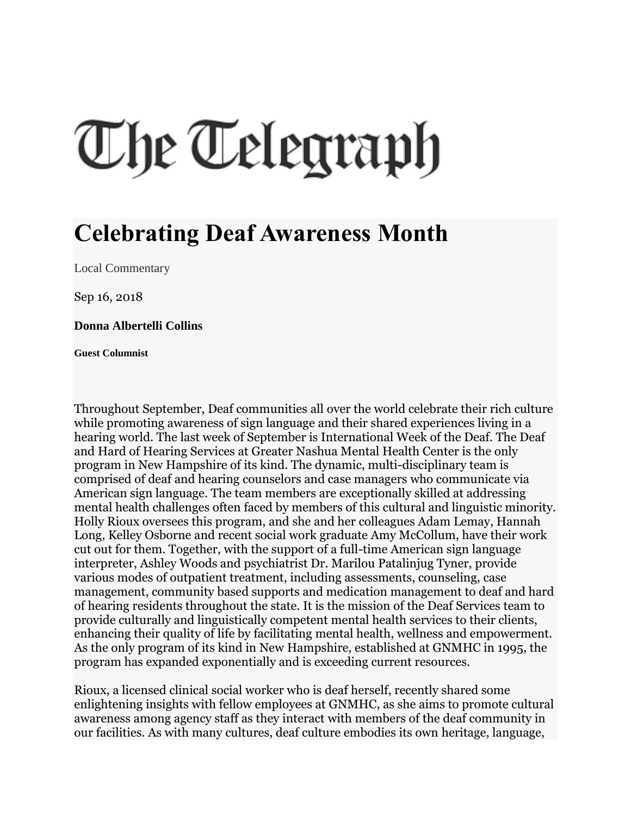## The Telegraph

## **Celebrating Deaf Awareness Month**

[Local Commentary](http://www.nashuatelegraph.com/opinion/local-commentary/)

Sep 16, 2018

**Donna Albertelli Collins**

**Guest Columnist**

Throughout September, Deaf communities all over the world celebrate their rich culture while promoting awareness of sign language and their shared experiences living in a hearing world. The last week of September is International Week of the Deaf. The Deaf and Hard of Hearing Services at Greater Nashua Mental Health Center is the only program in New Hampshire of its kind. The dynamic, multi-disciplinary team is comprised of deaf and hearing counselors and case managers who communicate via American sign language. The team members are exceptionally skilled at addressing mental health challenges often faced by members of this cultural and linguistic minority. Holly Rioux oversees this program, and she and her colleagues Adam Lemay, Hannah Long, Kelley Osborne and recent social work graduate Amy McCollum, have their work cut out for them. Together, with the support of a full-time American sign language interpreter, Ashley Woods and psychiatrist Dr. Marilou Patalinjug Tyner, provide various modes of outpatient treatment, including assessments, counseling, case management, community based supports and medication management to deaf and hard of hearing residents throughout the state. It is the mission of the Deaf Services team to provide culturally and linguistically competent mental health services to their clients, enhancing their quality of life by facilitating mental health, wellness and empowerment. As the only program of its kind in New Hampshire, established at GNMHC in 1995, the program has expanded exponentially and is exceeding current resources.

Rioux, a licensed clinical social worker who is deaf herself, recently shared some enlightening insights with fellow employees at GNMHC, as she aims to promote cultural awareness among agency staff as they interact with members of the deaf community in our facilities. As with many cultures, deaf culture embodies its own heritage, language,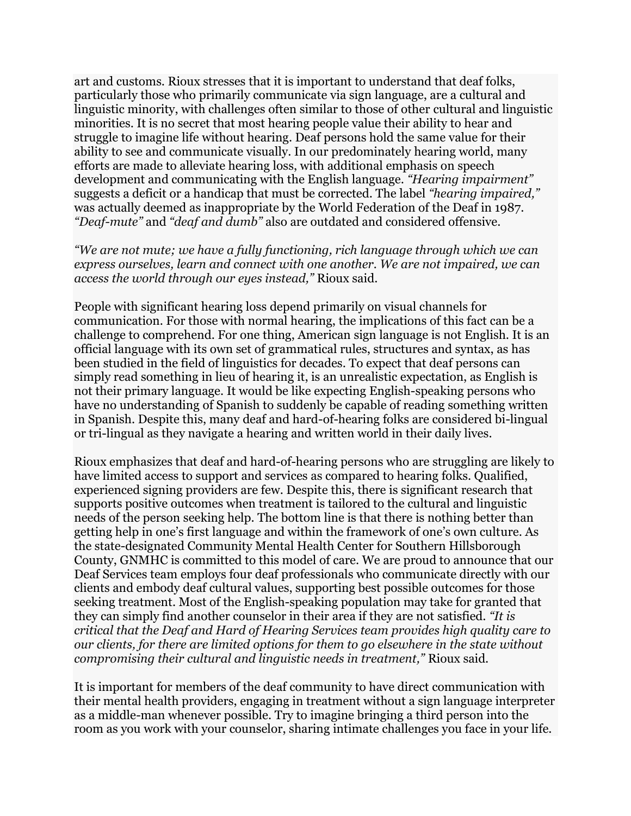art and customs. Rioux stresses that it is important to understand that deaf folks, particularly those who primarily communicate via sign language, are a cultural and linguistic minority, with challenges often similar to those of other cultural and linguistic minorities. It is no secret that most hearing people value their ability to hear and struggle to imagine life without hearing. Deaf persons hold the same value for their ability to see and communicate visually. In our predominately hearing world, many efforts are made to alleviate hearing loss, with additional emphasis on speech development and communicating with the English language. *"Hearing impairment"* suggests a deficit or a handicap that must be corrected. The label *"hearing impaired,"* was actually deemed as inappropriate by the World Federation of the Deaf in 1987. *"Deaf-mute"* and *"deaf and dumb"* also are outdated and considered offensive.

*"We are not mute; we have a fully functioning, rich language through which we can express ourselves, learn and connect with one another. We are not impaired, we can access the world through our eyes instead,"* Rioux said.

People with significant hearing loss depend primarily on visual channels for communication. For those with normal hearing, the implications of this fact can be a challenge to comprehend. For one thing, American sign language is not English. It is an official language with its own set of grammatical rules, structures and syntax, as has been studied in the field of linguistics for decades. To expect that deaf persons can simply read something in lieu of hearing it, is an unrealistic expectation, as English is not their primary language. It would be like expecting English-speaking persons who have no understanding of Spanish to suddenly be capable of reading something written in Spanish. Despite this, many deaf and hard-of-hearing folks are considered bi-lingual or tri-lingual as they navigate a hearing and written world in their daily lives.

Rioux emphasizes that deaf and hard-of-hearing persons who are struggling are likely to have limited access to support and services as compared to hearing folks. Qualified, experienced signing providers are few. Despite this, there is significant research that supports positive outcomes when treatment is tailored to the cultural and linguistic needs of the person seeking help. The bottom line is that there is nothing better than getting help in one's first language and within the framework of one's own culture. As the state-designated Community Mental Health Center for Southern Hillsborough County, GNMHC is committed to this model of care. We are proud to announce that our Deaf Services team employs four deaf professionals who communicate directly with our clients and embody deaf cultural values, supporting best possible outcomes for those seeking treatment. Most of the English-speaking population may take for granted that they can simply find another counselor in their area if they are not satisfied. *"It is critical that the Deaf and Hard of Hearing Services team provides high quality care to our clients, for there are limited options for them to go elsewhere in the state without compromising their cultural and linguistic needs in treatment,"* Rioux said.

It is important for members of the deaf community to have direct communication with their mental health providers, engaging in treatment without a sign language interpreter as a middle-man whenever possible. Try to imagine bringing a third person into the room as you work with your counselor, sharing intimate challenges you face in your life.